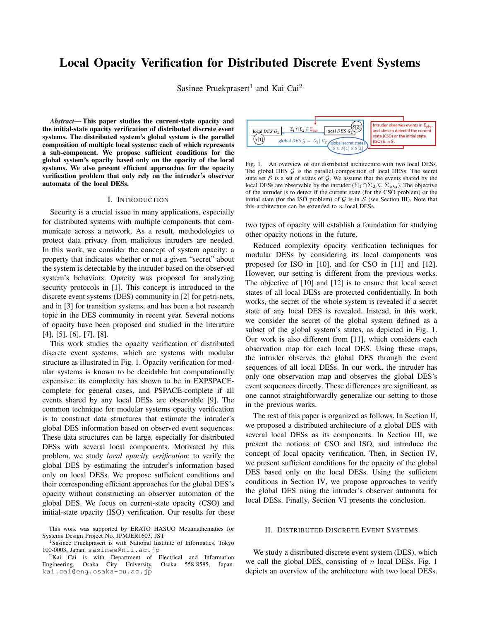# Local Opacity Verification for Distributed Discrete Event Systems

Sasinee Pruekprasert<sup>1</sup> and Kai Cai<sup>2</sup>

*Abstract*— This paper studies the current-state opacity and the initial-state opacity verification of distributed discrete event systems. The distributed system's global system is the parallel composition of multiple local systems: each of which represents a sub-component. We propose sufficient conditions for the global system's opacity based only on the opacity of the local systems. We also present efficient approaches for the opacity verification problem that only rely on the intruder's observer automata of the local DESs.

### I. INTRODUCTION

Security is a crucial issue in many applications, especially for distributed systems with multiple components that communicate across a network. As a result, methodologies to protect data privacy from malicious intruders are needed. In this work, we consider the concept of system opacity: a property that indicates whether or not a given "secret" about the system is detectable by the intruder based on the observed system's behaviors. Opacity was proposed for analyzing security protocols in [1]. This concept is introduced to the discrete event systems (DES) community in [2] for petri-nets, and in [3] for transition systems, and has been a hot research topic in the DES community in recent year. Several notions of opacity have been proposed and studied in the literature [4], [5], [6], [7], [8].

This work studies the opacity verification of distributed discrete event systems, which are systems with modular structure as illustrated in Fig. 1. Opacity verification for modular systems is known to be decidable but computationally expensive: its complexity has shown to be in EXPSPACEcomplete for general cases, and PSPACE-complete if all events shared by any local DESs are observable [9]. The common technique for modular systems opacity verification is to construct data structures that estimate the intruder's global DES information based on observed event sequences. These data structures can be large, especially for distributed DESs with several local components. Motivated by this problem, we study *local opacity verification*: to verify the global DES by estimating the intruder's information based only on local DESs. We propose sufficient conditions and their corresponding efficient approaches for the global DES's opacity without constructing an observer automaton of the global DES. We focus on current-state opacity (CSO) and initial-state opacity (ISO) verification. Our results for these



Fig. 1. An overview of our distributed architecture with two local DESs. The global DES  $G$  is the parallel composition of local DESs. The secret state set  $S$  is a set of states of  $G$ . We assume that the events shared by the local DESs are observable by the intruder ( $\Sigma_1 \cap \Sigma_2 \subseteq \Sigma_{obs}$ ). The objective of the intruder is to detect if the current state (for the CSO problem) or the initial state (for the ISO problem) of  $G$  is in  $S$  (see Section III). Note that this architecture can be extended to  $n$  local DESs.

two types of opacity will establish a foundation for studying other opacity notions in the future.

Reduced complexity opacity verification techniques for modular DESs by considering its local components was proposed for ISO in [10], and for CSO in [11] and [12]. However, our setting is different from the previous works. The objective of [10] and [12] is to ensure that local secret states of all local DESs are protected confidentially. In both works, the secret of the whole system is revealed if a secret state of any local DES is revealed. Instead, in this work, we consider the secret of the global system defined as a subset of the global system's states, as depicted in Fig. 1. Our work is also different from [11], which considers each observation map for each local DES. Using these maps, the intruder observes the global DES through the event sequences of all local DESs. In our work, the intruder has only one observation map and observes the global DES's event sequences directly. These differences are significant, as one cannot straightforwardly generalize our setting to those in the previous works.

The rest of this paper is organized as follows. In Section II, we proposed a distributed architecture of a global DES with several local DESs as its components. In Section III, we present the notions of CSO and ISO, and introduce the concept of local opacity verification. Then, in Section IV, we present sufficient conditions for the opacity of the global DES based only on the local DESs. Using the sufficient conditions in Section IV, we propose approaches to verify the global DES using the intruder's observer automata for local DESs. Finally, Section VI presents the conclusion.

### II. DISTRIBUTED DISCRETE EVENT SYSTEMS

We study a distributed discrete event system (DES), which we call the global DES, consisting of  $n$  local DESs. Fig. 1 depicts an overview of the architecture with two local DESs.

This work was supported by ERATO HASUO Metamathematics for Systems Design Project No. JPMJER1603, JST

<sup>&</sup>lt;sup>1</sup>Sasinee Pruekprasert is with National Institute of Informatics, Tokyo 100-0003, Japan. sasinee@nii.ac.jp

 ${}^{2}$ Kai Cai is with Department of Electrical and Information gineering, Osaka City University, Osaka 558-8585, Japan. Engineering, Osaka City University, kai.cai@eng.osaka-cu.ac.jp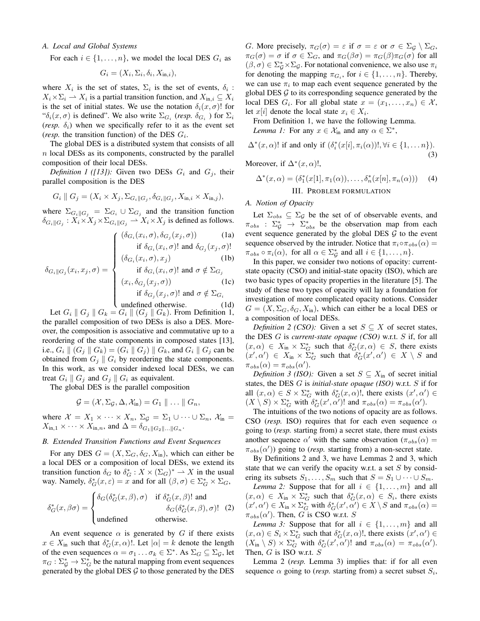# *A. Local and Global Systems*

For each  $i \in \{1, \ldots, n\}$ , we model the local DES  $G_i$  as

$$
G_i = (X_i, \Sigma_i, \delta_i, X_{\text{in},i}),
$$

where  $X_i$  is the set of states,  $\Sigma_i$  is the set of events,  $\delta_i$ :  $X_i \times \Sigma_i \longrightarrow X_i$  is a partial transition function, and  $X_{\text{in},i} \subseteq X_i$ is the set of initial states. We use the notation  $\delta_i(x, \sigma)$ ! for " $\delta_i(x, \sigma)$  is defined". We also write  $\Sigma_{G_i}$  (*resp.*  $\delta_{G_i}$ ) for  $\Sigma_i$ (*resp.*  $\delta_i$ ) when we specifically refer to it as the event set (*resp.* the transition function) of the DES  $G_i$ .

The global DES is a distributed system that consists of all n local DESs as its components, constructed by the parallel composition of their local DESs.

*Definition 1 ([13]):* Given two DESs  $G_i$  and  $G_j$ , their parallel composition is the DES

$$
G_i \parallel G_j = (X_i \times X_j, \Sigma_{G_i \parallel G_j}, \delta_{G_i \parallel G_j}, X_{\text{in},i} \times X_{\text{in},j}),
$$

where  $\Sigma_{G_i \parallel G_j} = \Sigma_{G_i} \cup \Sigma_{G_j}$  and the transition function  $\delta_{G_i||G_j}: X_i \times X_j \times \Sigma_{G_i||G_j} \longrightarrow X_i \times X_j$  is defined as follows.

$$
\int \frac{(\delta_{G_i}(x_i, \sigma), \delta_{G_j}(x_j, \sigma))}{\text{if } \delta_{G_j}(x_j, \sigma) \text{ and } \delta_{G_j}(x_j, \sigma)}
$$
 (1a)

$$
\hat{\delta}_{G_i}(x_i, \sigma)!
$$
 and  $\delta_{G_j}(x_j, \sigma)!$   

$$
(\delta_{G_i}(x_i, \sigma), x_j)
$$
 (1b)

$$
\delta_{G_i||G_j}(x_i, x_j, \sigma) = \begin{cases}\n\text{if } \delta_{G_i}(x_i, \sigma)! \text{ and } \sigma \notin \Sigma_{G_j} \\
(x_i, \delta_{G_j}(x_j, \sigma)) & \text{(1c)} \\
\text{if } \delta_{G_j}(x_j, \sigma)! \text{ and } \sigma \notin \Sigma_{G_i} \\
\text{undefined otherwise.} & \text{(1d)}\n\end{cases}
$$

undefined otherwise. 
$$
(1d)
$$

Let  $G_i \parallel G_j \parallel G_k = G_i \parallel (G_j \parallel G_k)$ . From Definition 1, the parallel composition of two DESs is also a DES. Moreover, the composition is associative and commutative up to a reordering of the state components in composed states [13], i.e.,  $G_i \| (G_j \| G_k) = (G_i \| G_j) \| G_k$ , and  $G_i \| G_j$  can be obtained from  $G_i \parallel G_i$  by reordering the state components. In this work, as we consider indexed local DESs, we can treat  $G_i \parallel G_j$  and  $G_j \parallel G_i$  as equivalent.

The global DES is the parallel composition

$$
\mathcal{G} = (\mathcal{X}, \Sigma_{\mathcal{G}}, \Delta, \mathcal{X}_{\text{in}}) = G_1 \parallel \ldots \parallel G_n,
$$

where  $\mathcal{X} = X_1 \times \cdots \times X_n$ ,  $\Sigma_g = \Sigma_1 \cup \cdots \cup \Sigma_n$ ,  $\mathcal{X}_{\text{in}} =$  $X_{\text{in},1} \times \cdots \times X_{\text{in},n}$ , and  $\Delta = \delta_{G_1 || G_2 || \dots || G_n}$ .

# *B. Extended Transition Functions and Event Sequences*

For any DES  $G = (X, \Sigma_G, \delta_G, X_{\text{in}})$ , which can either be a local DES or a composition of local DESs, we extend its transition function  $\delta_G$  to  $\delta_G^*: X \times (\Sigma_G)^* \to X$  in the usual way. Namely,  $\delta_G^*(x, \varepsilon) = x$  and for all  $(\beta, \sigma) \in \Sigma_G^* \times \Sigma_G$ ,

$$
\delta_G^*(x, \beta \sigma) = \begin{cases}\n\delta_G(\delta_G^*(x, \beta), \sigma) & \text{if } \delta_G^*(x, \beta)! \text{ and} \\
\delta_G(\delta_G^*(x, \beta), \sigma)! & (2) \\
\text{undefined} & \text{otherwise.} \n\end{cases}
$$

An event sequence  $\alpha$  is generated by G if there exists  $x \in X_{\text{in}}$  such that  $\delta_G^*(x, \alpha)!$ . Let  $|\alpha| = k$  denote the length of the even sequences  $\alpha = \sigma_1 \dots \sigma_k \in \Sigma^*$ . As  $\Sigma_G \subseteq \Sigma_{\mathcal{G}}$ , let  $\pi_G : \Sigma_g^* \to \Sigma_G^*$  be the natural mapping from event sequences generated by the global DES  $\mathcal G$  to those generated by the DES G. More precisely,  $\pi_G(\sigma) = \varepsilon$  if  $\sigma = \varepsilon$  or  $\sigma \in \Sigma_{\mathcal{G}} \setminus \Sigma_G$ ,  $\pi_G(\sigma) = \sigma$  if  $\sigma \in \Sigma_G$ , and  $\pi_G(\beta \sigma) = \pi_G(\beta) \pi_G(\sigma)$  for all  $(\beta, \sigma) \in \Sigma_g^* \times \Sigma_g$ . For notational convenience, we also use  $\pi_i$ for denoting the mapping  $\pi_{G_i}$ , for  $i \in \{1, \ldots, n\}$ . Thereby, we can use  $\pi_i$  to map each event sequence generated by the global DES  $\mathcal G$  to its corresponding sequence generated by the local DES  $G_i$ . For all global state  $x = (x_1, \ldots, x_n) \in \mathcal{X}$ , let  $x[i]$  denote the local state  $x_i \in X_i$ .

From Definition 1, we have the following Lemma. *Lemma 1:* For any  $x \in \mathcal{X}_{\text{in}}$  and any  $\alpha \in \Sigma^*$ ,

$$
\Delta^*(x,\alpha)!
$$
 if and only if  $(\delta_i^*(x[i], \pi_i(\alpha))!, \forall i \in \{1, \dots n\}).$  (3)

Moreover, if  $\Delta^*(x, \alpha)!$ ,

$$
\Delta^*(x,\alpha) = (\delta_1^*(x[1], \pi_1(\alpha)), \dots, \delta_n^*(x[n], \pi_n(\alpha)))
$$
 (4)  
III. PROBLEM FORMULATION

# *A. Notion of Opacity*

Let  $\Sigma_{obs} \subseteq \Sigma_{\mathcal{G}}$  be the set of of observable events, and  $\pi_{obs}$  :  $\Sigma_g^*$   $\rightarrow$   $\Sigma_{obs}^*$  be the observation map from each event sequence generated by the global DES  $G$  to the event sequence observed by the intruder. Notice that  $\pi_i \circ \pi_{obs}(\alpha) =$  $\pi_{obs} \circ \pi_i(\alpha)$ , for all  $\alpha \in \Sigma_{\mathcal{G}}^*$  and all  $i \in \{1, \ldots, n\}$ .

In this paper, we consider two notions of opacity: currentstate opacity (CSO) and initial-state opacity (ISO), which are two basic types of opacity properties in the literature [5]. The study of these two types of opacity will lay a foundation for investigation of more complicated opacity notions. Consider  $G = (X, \Sigma_G, \delta_G, X_{\text{in}})$ , which can either be a local DES or a composition of local DESs.

*Definition 2 (CSO):* Given a set  $S \subseteq X$  of secret states, the DES G is *current-state opaque (CSO)* w.r.t. S if, for all  $(x, \alpha) \in X_{\text{in}} \times \Sigma_G^*$  such that  $\delta_G^*(x, \alpha) \in S$ , there exists  $(x', \alpha') \in X_{\text{in}} \times \Sigma_G^*$  such that  $\delta_G^*(x', \alpha') \in X \setminus S$  and  $\pi_{obs}(\alpha) = \pi_{obs}(\alpha').$ 

*Definition 3 (ISO):* Given a set  $S \subseteq X_{\text{in}}$  of secret initial states, the DES G is *initial-state opaque (ISO)* w.r.t. S if for all  $(x, \alpha) \in S \times \Sigma_G^*$  with  $\delta_G^*(x, \alpha)!$ , there exists  $(x', \alpha') \in$  $(X \setminus S) \times \Sigma_G^*$  with  $\delta_G^*(x', \alpha')!$  and  $\pi_{obs}(\alpha) = \pi_{obs}(\alpha').$ 

The intuitions of the two notions of opacity are as follows. CSO (*resp.* ISO) requires that for each even sequence  $\alpha$ going to (*resp.* starting from) a secret state, there must exists another sequence  $\alpha'$  with the same observation  $(\pi_{obs}(\alpha))$  $\pi_{obs}(\alpha')$ ) going to (*resp.* starting from) a non-secret state.

By Definitions 2 and 3, we have Lemmas 2 and 3, which state that we can verify the opacity w.r.t. a set  $S$  by considering its subsets  $S_1, \ldots, S_m$  such that  $S = S_1 \cup \cdots \cup S_m$ .

*Lemma 2:* Suppose that for all  $i \in \{1, \ldots, m\}$  and all  $(x, \alpha) \in X_{\text{in}} \times \Sigma_G^*$  such that  $\delta_G^*(x, \alpha) \in S_i$ , there exists  $(x', \alpha') \in X_{\text{in}} \times \Sigma_G^*$  with  $\delta_G^*(x', \alpha') \in X \setminus S$  and  $\pi_{obs}(\alpha) =$  $\pi_{obs}(\alpha')$ . Then, G is CSO w.r.t. S

*Lemma 3:* Suppose that for all  $i \in \{1, \ldots, m\}$  and all  $(x, \alpha) \in S_i \times \Sigma_G^*$  such that  $\delta_G^*(x, \alpha)!$ , there exists  $(x', \alpha') \in$  $(X_{\text{in}} \setminus S) \times \Sigma_G^*$  with  $\delta_G^*(x', \alpha')!$  and  $\pi_{obs}(\alpha) = \pi_{obs}(\alpha').$ Then,  $G$  is ISO w.r.t.  $S$ 

Lemma 2 (*resp.* Lemma 3) implies that: if for all even sequence  $\alpha$  going to (*resp.* starting from) a secret subset  $S_i$ ,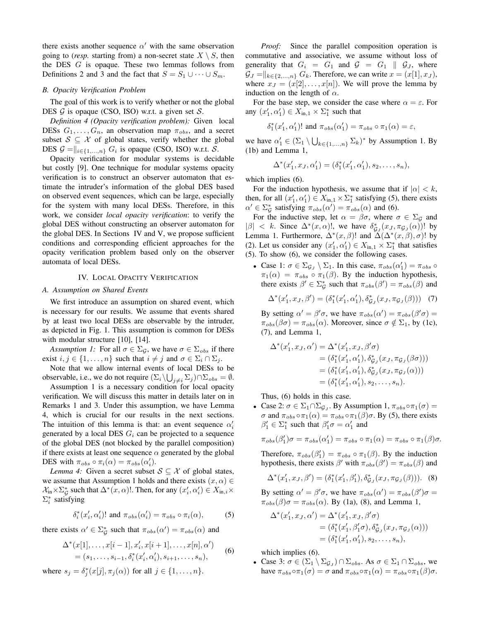there exists another sequence  $\alpha'$  with the same observation going to (*resp.* starting from) a non-secret state  $X \setminus S$ , then the DES  $G$  is opaque. These two lemmas follows from Definitions 2 and 3 and the fact that  $S = S_1 \cup \cdots \cup S_m$ .

## *B. Opacity Verification Problem*

The goal of this work is to verify whether or not the global DES  $G$  is opaque (CSO, ISO) w.r.t. a given set  $S$ .

*Definition 4 (Opacity verification problem):* Given local DESs  $G_1, \ldots, G_n$ , an observation map  $\pi_{obs}$ , and a secret subset  $S \subseteq \mathcal{X}$  of global states, verify whether the global DES  $G = ||_{i \in \{1, ..., n\}} G_i$  is opaque (CSO, ISO) w.r.t. S.

Opacity verification for modular systems is decidable but costly [9]. One technique for modular systems opacity verification is to construct an observer automaton that estimate the intruder's information of the global DES based on observed event sequences, which can be large, especially for the system with many local DESs. Therefore, in this work, we consider *local opacity verification*: to verify the global DES without constructing an observer automaton for the global DES. In Sections IV and V, we propose sufficient conditions and corresponding efficient approaches for the opacity verification problem based only on the observer automata of local DESs.

# IV. LOCAL OPACITY VERIFICATION

### *A. Assumption on Shared Events*

We first introduce an assumption on shared event, which is necessary for our results. We assume that events shared by at least two local DESs are observable by the intruder, as depicted in Fig. 1. This assumption is common for DESs with modular structure [10], [14].

*Assumption 1:* For all  $\sigma \in \Sigma_{\mathcal{G}}$ , we have  $\sigma \in \Sigma_{obs}$  if there exist  $i, j \in \{1, \ldots, n\}$  such that  $i \neq j$  and  $\sigma \in \Sigma_i \cap \Sigma_j$ .

Note that we allow internal events of local DESs to be observable, i.e., we do not require  $(\Sigma_i \backslash \bigcup_{j \neq i} \Sigma_j) \cap \Sigma_{obs} = \emptyset$ .

Assumption 1 is a necessary condition for local opacity verification. We will discuss this matter in details later on in Remarks 1 and 3. Under this assumption, we have Lemma 4, which is crucial for our results in the next sections. The intuition of this lemma is that: an event sequence  $\alpha_i'$ generated by a local DES  $G_i$  can be projected to a sequence of the global DES (not blocked by the parallel composition) if there exists at least one sequence  $\alpha$  generated by the global DES with  $\pi_{obs} \circ \pi_i(\alpha) = \pi_{obs}(\alpha'_i)$ .

*Lemma 4:* Given a secret subset  $S \subseteq \mathcal{X}$  of global states, we assume that Assumption 1 holds and there exists  $(x, \alpha) \in$  $\mathcal{X}_{\text{in}} \times \Sigma_{\mathcal{G}}^*$  such that  $\Delta^*(x, \alpha)!$ . Then, for any  $(x'_i, \alpha'_i) \in X_{\text{in},i} \times$  $\Sigma_i^*$  satisfying

$$
\delta_i^*(x_i', \alpha_i')! \text{ and } \pi_{obs}(\alpha_i') = \pi_{obs} \circ \pi_i(\alpha), \quad (5)
$$

there exists  $\alpha' \in \sum_{\mathcal{G}}^*$  such that  $\pi_{obs}(\alpha') = \pi_{obs}(\alpha)$  and

$$
\Delta^*(x[1], \dots, x[i-1], x'_i, x[i+1], \dots, x[n], \alpha')
$$
  
=  $(s_1, \dots, s_{i-1}, \delta_i^*(x'_i, \alpha'_i), s_{i+1}, \dots, s_n),$  (6)

where  $s_j = \delta_j^*(x[j], \pi_j(\alpha))$  for all  $j \in \{1, \ldots, n\}.$ 

*Proof:* Since the parallel composition operation is commutative and associative, we assume without loss of generality that  $G_i = G_1$  and  $G = G_1 \parallel G_J$ , where  $\mathcal{G}_J = \parallel_{k \in \{2,\ldots,n\}} G_k$ . Therefore, we can write  $x = (x[1], x_J)$ , where  $x_j = (x[2], \ldots, x[n])$ . We will prove the lemma by induction on the length of  $\alpha$ .

For the base step, we consider the case where  $\alpha = \varepsilon$ . For any  $(x'_1, \alpha'_1) \in X_{\text{in},1} \times \Sigma_1^*$  such that

$$
\delta_1^*(x_1', \alpha_1')!
$$
 and  $\pi_{obs}(\alpha_1') = \pi_{obs} \circ \pi_1(\alpha) = \varepsilon$ ,

we have  $\alpha'_1 \in (\Sigma_1 \setminus \bigcup_{k \in \{1, ..., n\}} \Sigma_k)^*$  by Assumption 1. By (1b) and Lemma 1,

$$
\Delta^*(x'_1, x_J, \alpha'_1) = (\delta_1^*(x'_1, \alpha'_1), s_2, \dots, s_n),
$$

which implies (6).

For the induction hypothesis, we assume that if  $|\alpha| < k$ , then, for all  $(x'_1, \alpha'_1) \in X_{\text{in},1} \times \Sigma_1^*$  satisfying (5), there exists  $\alpha' \in \Sigma_{\mathcal{G}}^*$  satisfying  $\pi_{obs}(\alpha') = \pi_{obs}(\alpha)$  and (6).

For the inductive step, let  $\alpha = \beta \sigma$ , where  $\sigma \in \Sigma_{\mathcal{G}}$  and  $|\beta| < k$ . Since  $\Delta^*(x, \alpha)!$ , we have  $\delta_{\mathcal{G}_J}^*(x_J, \pi_{\mathcal{G}_J}(\alpha))!$  by Lemma 1. Furthermore,  $\Delta^*(x,\beta)!$  and  $\tilde{\Delta}(\Delta^*(x,\beta),\sigma)!$  by (2). Let us consider any  $(x'_1, \alpha'_1) \in X_{\text{in},1} \times \Sigma_1^*$  that satisfies (5). To show (6), we consider the following cases.

• Case 1:  $\sigma \in \Sigma_{\mathcal{G}_J} \setminus \Sigma_1$ . In this case,  $\pi_{obs}(\alpha'_1) = \pi_{obs} \circ$  $\pi_1(\alpha) = \pi_{obs} \circ \pi_1(\beta)$ . By the induction hypothesis, there exists  $\beta' \in \sum_{\mathcal{G}}^*$  such that  $\pi_{obs}(\beta') = \pi_{obs}(\beta)$  and

$$
\Delta^*(x'_1, x_J, \beta') = (\delta_1^*(x'_1, \alpha'_1), \delta_{\mathcal{G}_J}^*(x_J, \pi_{\mathcal{G}_J}(\beta))) \tag{7}
$$

By setting  $\alpha' = \beta' \sigma$ , we have  $\pi_{obs}(\alpha') = \pi_{obs}(\beta' \sigma) =$  $\pi_{obs}(\beta \sigma) = \pi_{obs}(\alpha)$ . Moreover, since  $\sigma \notin \Sigma_1$ , by (1c), (7), and Lemma 1,

$$
\Delta^*(x'_1, x_J, \alpha') = \Delta^*(x'_1, x_J, \beta'\sigma)
$$
  
=  $(\delta_1^*(x'_1, \alpha'_1), \delta_{\mathcal{G}_J}^*(x_J, \pi_{\mathcal{G}_J}(\beta\sigma)))$   
=  $(\delta_1^*(x'_1, \alpha'_1), \delta_{\mathcal{G}_J}^*(x_J, \pi_{\mathcal{G}_J}(\alpha)))$   
=  $(\delta_1^*(x'_1, \alpha'_1), s_2, \dots, s_n).$ 

Thus, (6) holds in this case.

• Case 2:  $\sigma \in \Sigma_1 \cap \Sigma_{\mathcal{G}_J}$ . By Assumption 1,  $\pi_{obs} \circ \pi_1(\sigma) =$  $\sigma$  and  $\pi_{obs} \circ \pi_1(\alpha) = \pi_{obs} \circ \pi_1(\beta) \sigma$ . By (5), there exists  $\beta'_1 \in \Sigma_1^*$  such that  $\beta'_1 \sigma = \alpha'_1$  and

$$
\pi_{obs}(\beta'_1)\sigma = \pi_{obs}(\alpha'_1) = \pi_{obs} \circ \pi_1(\alpha) = \pi_{obs} \circ \pi_1(\beta)\sigma.
$$

Therefore,  $\pi_{obs}(\beta'_1) = \pi_{obs} \circ \pi_1(\beta)$ . By the induction hypothesis, there exists  $\beta'$  with  $\pi_{obs}(\beta') = \pi_{obs}(\beta)$  and

$$
\Delta^*(x'_1, x_J, \beta') = (\delta_1^*(x'_1, \beta'_1), \delta_{\mathcal{G}_J}^*(x_J, \pi_{\mathcal{G}_J}(\beta))). \tag{8}
$$

By setting  $\alpha' = \beta' \sigma$ , we have  $\pi_{obs}(\alpha') = \pi_{obs}(\beta')\sigma =$  $\pi_{obs}(\beta)\sigma = \pi_{obs}(\alpha)$ . By (1a), (8), and Lemma 1,

$$
\Delta^*(x'_1, x_J, \alpha') = \Delta^*(x'_1, x_J, \beta'\sigma) \n= (\delta_1^*(x'_1, \beta'_1\sigma), \delta_{G_J}^*(x_J, \pi_{G_J}(\alpha))) \n= (\delta_1^*(x'_1, \alpha'_1), s_2, \dots, s_n),
$$

which implies (6).

• Case 3:  $\sigma \in (\Sigma_1 \setminus \Sigma_{\mathcal{G}_J}) \cap \Sigma_{obs}$ . As  $\sigma \in \Sigma_1 \cap \Sigma_{obs}$ , we have  $\pi_{obs} \circ \pi_1(\sigma) = \sigma$  and  $\pi_{obs} \circ \pi_1(\alpha) = \pi_{obs} \circ \pi_1(\beta) \sigma$ .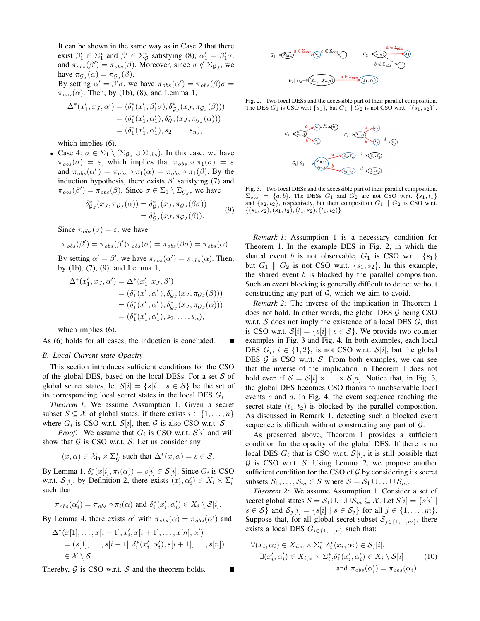It can be shown in the same way as in Case 2 that there exist  $\beta'_1 \in \Sigma_1^*$  and  $\beta' \in \Sigma_{\mathcal{G}}^*$  satisfying (8),  $\alpha'_1 = \beta'_1 \sigma$ , and  $\pi_{obs}(\beta') = \pi_{obs}(\beta)$ . Moreover, since  $\sigma \notin \Sigma_{\mathcal{G}_J}$ , we have  $\pi_{\mathcal{G}_J}(\alpha) = \pi_{\mathcal{G}_J}(\beta)$ . By setting  $\alpha' = \beta' \sigma$ , we have  $\pi_{obs}(\alpha') = \pi_{obs}(\beta)\sigma =$ 

 $\pi_{obs}(\alpha)$ . Then, by (1b), (8), and Lemma 1,

$$
\Delta^*(x'_1, x_J, \alpha') = (\delta_1^*(x'_1, \beta'_1 \sigma), \delta_{\mathcal{G}_J}^*(x_J, \pi_{\mathcal{G}_J}(\beta))) = (\delta_1^*(x'_1, \alpha'_1), \delta_{\mathcal{G}_J}^*(x_J, \pi_{\mathcal{G}_J}(\alpha))) = (\delta_1^*(x'_1, \alpha'_1), s_2, \dots, s_n),
$$

which implies  $(6)$ .

• Case 4:  $\sigma \in \Sigma_1 \setminus (\Sigma_{\mathcal{G}_J} \cup \Sigma_{obs})$ . In this case, we have  $\pi_{obs}(\sigma) = \varepsilon$ , which implies that  $\pi_{obs} \circ \pi_1(\sigma) = \varepsilon$ and  $\pi_{obs}(\alpha'_1) = \pi_{obs} \circ \pi_1(\alpha) = \pi_{obs} \circ \pi_1(\beta)$ . By the induction hypothesis, there exists  $\beta'$  satisfying (7) and  $\pi_{obs}(\beta') = \pi_{obs}(\beta)$ . Since  $\sigma \in \Sigma_1 \setminus \Sigma_{\mathcal{G}_J}$ , we have

$$
\delta_{\mathcal{G}_J}^*(x_J, \pi_{\mathcal{G}_J}(\alpha)) = \delta_{\mathcal{G}_J}^*(x_J, \pi_{\mathcal{G}_J}(\beta \sigma)) \n= \delta_{\mathcal{G}_J}^*(x_J, \pi_{\mathcal{G}_J}(\beta)).
$$
\n(9)

Since  $\pi_{obs}(\sigma) = \varepsilon$ , we have

$$
\pi_{obs}(\beta') = \pi_{obs}(\beta')\pi_{obs}(\sigma) = \pi_{obs}(\beta\sigma) = \pi_{obs}(\alpha).
$$

By setting  $\alpha' = \beta'$ , we have  $\pi_{obs}(\alpha') = \pi_{obs}(\alpha)$ . Then, by (1b), (7), (9), and Lemma 1,

$$
\Delta^*(x'_1, x_J, \alpha') = \Delta^*(x'_1, x_J, \beta')
$$
  
=  $(\delta_1^*(x'_1, \alpha'_1), \delta_{G_J}^*(x_J, \pi_{G_J}(\beta)))$   
=  $(\delta_1^*(x'_1, \alpha'_1), \delta_{G_J}^*(x_J, \pi_{G_J}(\alpha)))$   
=  $(\delta_1^*(x'_1, \alpha'_1), s_2, \dots, s_n),$ 

which implies (6).

As (6) holds for all cases, the induction is concluded.

### *B. Local Current-state Opacity*

This section introduces sufficient conditions for the CSO of the global DES, based on the local DESs. For a set  $S$  of global secret states, let  $S[i] = \{s[i] | s \in S\}$  be the set of its corresponding local secret states in the local DES  $G_i$ .

*Theorem 1:* We assume Assumption 1. Given a secret subset  $S \subseteq \mathcal{X}$  of global states, if there exists  $i \in \{1, \ldots, n\}$ where  $G_i$  is CSO w.r.t.  $\mathcal{S}[i]$ , then  $\mathcal G$  is also CSO w.r.t.  $\mathcal S$ .

*Proof:* We assume that  $G_i$  is CSO w.r.t.  $\mathcal{S}[i]$  and will show that  $G$  is CSO w.r.t.  $S$ . Let us consider any

$$
(x, \alpha) \in \mathcal{X}_{\text{in}} \times \Sigma_{\mathcal{G}}^*
$$
 such that  $\Delta^*(x, \alpha) = s \in \mathcal{S}$ .

By Lemma 1,  $\delta_i^*(x[i], \pi_i(\alpha)) = s[i] \in \mathcal{S}[i]$ . Since  $G_i$  is CSO w.r.t.  $S[i]$ , by Definition 2, there exists  $(x'_i, \alpha'_i) \in X_i \times \Sigma_i^*$ such that

$$
\pi_{obs}(\alpha'_i) = \pi_{obs} \circ \pi_i(\alpha) \text{ and } \delta_i^*(x'_i, \alpha'_i) \in X_i \setminus \mathcal{S}[i].
$$

By Lemma 4, there exists  $\alpha'$  with  $\pi_{obs}(\alpha) = \pi_{obs}(\alpha')$  and

$$
\Delta^*(x[1], \ldots, x[i-1], x'_i, x[i+1], \ldots, x[n], \alpha')
$$
  
=  $(s[1], \ldots, s[i-1], \delta_i^*(x'_i, \alpha'_i), s[i+1], \ldots, s[n])$   
 $\in \mathcal{X} \setminus \mathcal{S}.$ 

Thereby,  $G$  is CSO w.r.t.  $S$  and the theorem holds.



Fig. 2. Two local DESs and the accessible part of their parallel composition. The DES  $G_1$  is CSO w.r.t  $\{s_1\}$ , but  $G_1 \parallel G_2$  is not CSO w.r.t.  $\{(s_1, s_2)\}.$ 



Fig. 3. Two local DESs and the accessible part of their parallel composition.  $\Sigma_{obs}$  = {a, b}. The DESs G<sub>1</sub> and G<sub>2</sub> are not CSO w.r.t. {s<sub>1</sub>, t<sub>1</sub>} and  $\{s_2, t_2\}$ , respectively, but their composition  $G_1 \parallel G_2$  is CSO w.r.t.  $\{(s_1, s_2), (s_1, t_2), (t_1, s_2), (t_1, t_2)\}.$ 

*Remark 1:* Assumption 1 is a necessary condition for Theorem 1. In the example DES in Fig. 2, in which the shared event b is not observable,  $G_1$  is CSO w.r.t.  $\{s_1\}$ but  $G_1 \parallel G_2$  is not CSO w.r.t.  $\{s_1, s_2\}$ . In this example, the shared event b is blocked by the parallel composition. Such an event blocking is generally difficult to detect without constructing any part of  $G$ , which we aim to avoid.

*Remark 2:* The inverse of the implication in Theorem 1 does not hold. In other words, the global DES  $G$  being CSO w.r.t. S does not imply the existence of a local DES  $G_i$  that is CSO w.r.t.  $\mathcal{S}[i] = \{s[i] | s \in \mathcal{S}\}\$ . We provide two counter examples in Fig. 3 and Fig. 4. In both examples, each local DES  $G_i$ ,  $i \in \{1, 2\}$ , is not CSO w.r.t.  $\mathcal{S}[i]$ , but the global DES  $G$  is CSO w.r.t. S. From both examples, we can see that the inverse of the implication in Theorem 1 does not hold even if  $S = S[i] \times \ldots \times S[n]$ . Notice that, in Fig. 3, the global DES becomes CSO thanks to unobservable local events  $c$  and  $d$ . In Fig. 4, the event sequence reaching the secret state  $(t_1, t_2)$  is blocked by the parallel composition. As discussed in Remark 1, detecting such a blocked event sequence is difficult without constructing any part of  $G$ .

As presented above, Theorem 1 provides a sufficient condition for the opacity of the global DES. If there is no local DES  $G_i$  that is CSO w.r.t.  $\mathcal{S}[i]$ , it is still possible that  $G$  is CSO w.r.t. S. Using Lemma 2, we propose another sufficient condition for the CSO of  $G$  by considering its secret subsets  $S_1, \ldots, S_m \in S$  where  $S = S_1 \cup \ldots \cup S_m$ .

*Theorem 2:* We assume Assumption 1. Consider a set of secret global states  $S = S_1 \cup ... \cup S_m \subseteq \mathcal{X}$ . Let  $S[i] = \{s[i] \mid s[i] \mid S_j[i] \}$  $s \in S$  and  $S_j[i] = \{s[i] \mid s \in S_j\}$  for all  $j \in \{1, \ldots, m\}.$ Suppose that, for all global secret subset  $S_{j \in \{1,...,m\}}$ , there exists a local DES  $G_{i \in \{1,...,n\}}$  such that:

$$
\forall (x_i, \alpha_i) \in X_{i, \text{in}} \times \Sigma_i^*, \delta_i^*(x_i, \alpha_i) \in S_j[i],
$$
  
\n
$$
\exists (x_i', \alpha_i') \in X_{i, \text{in}} \times \Sigma_i^*, \delta_i^*(x_i', \alpha_i') \in X_i \setminus S[i] \qquad (10)
$$
  
\nand  $\pi_{obs}(\alpha_i') = \pi_{obs}(\alpha_i)$ .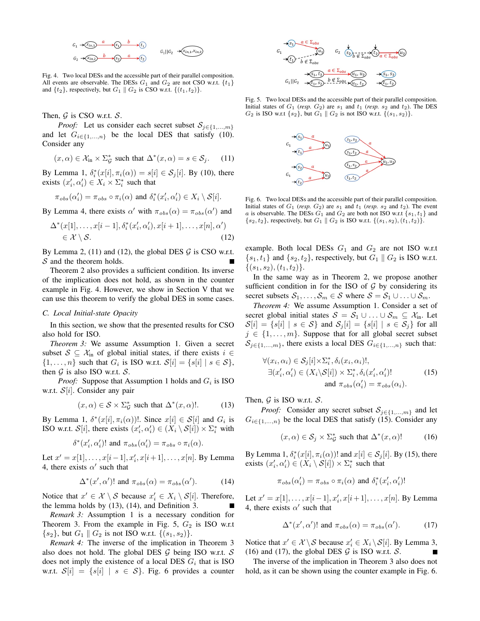

Fig. 4. Two local DESs and the accessible part of their parallel composition. All events are observable. The DESs  $G_1$  and  $G_2$  are not CSO w.r.t.  $\{t_1\}$ and  $\{t_2\}$ , respectively, but  $G_1 \parallel G_2$  is CSO w.r.t.  $\{(t_1, t_2)\}.$ 

Then,  $G$  is CSO w.r.t.  $S$ .

*Proof:* Let us consider each secret subset  $S_{j \in \{1,...,m\}}$ and let  $G_{i \in \{1,...,n\}}$  be the local DES that satisfy (10). Consider any

$$
(x, \alpha) \in \mathcal{X}_{\text{in}} \times \Sigma_{\mathcal{G}}^*
$$
 such that  $\Delta^*(x, \alpha) = s \in \mathcal{S}_j$ . (11)

By Lemma 1,  $\delta_i^*(x[i], \pi_i(\alpha)) = s[i] \in \mathcal{S}_j[i]$ . By (10), there exists  $(x'_i, \alpha'_i) \in X_i \times \Sigma_i^*$  such that

$$
\pi_{obs}(\alpha'_i) = \pi_{obs} \circ \pi_i(\alpha) \text{ and } \delta_i^*(x'_i, \alpha'_i) \in X_i \setminus \mathcal{S}[i].
$$

By Lemma 4, there exists  $\alpha'$  with  $\pi_{obs}(\alpha) = \pi_{obs}(\alpha')$  and

$$
\Delta^*(x[1], \dots, x[i-1], \delta_i^*(x_i', \alpha_i'), x[i+1], \dots, x[n], \alpha')
$$
  
\n
$$
\in \mathcal{X} \setminus \mathcal{S}.
$$
\n(12)

By Lemma 2, (11) and (12), the global DES  $\mathcal G$  is CSO w.r.t.  $S$  and the theorem holds.

Theorem 2 also provides a sufficient condition. Its inverse of the implication does not hold, as shown in the counter example in Fig. 4. However, we show in Section V that we can use this theorem to verify the global DES in some cases.

### *C. Local Initial-state Opacity*

In this section, we show that the presented results for CSO also hold for ISO.

*Theorem 3:* We assume Assumption 1. Given a secret subset  $S \subseteq \mathcal{X}_{\text{in}}$  of global initial states, if there exists  $i \in$  $\{1, \ldots, n\}$  such that  $G_i$  is ISO w.r.t.  $\mathcal{S}[i] = \{s[i] \mid s \in \mathcal{S}\},\$ then  $G$  is also ISO w.r.t.  $S$ .

*Proof:* Suppose that Assumption 1 holds and  $G_i$  is ISO w.r.t.  $S[i]$ . Consider any pair

$$
(x, \alpha) \in \mathcal{S} \times \Sigma_{\mathcal{G}}^{*} \text{ such that } \Delta^{*}(x, \alpha)!. \tag{13}
$$

By Lemma 1,  $\delta^*(x[i], \pi_i(\alpha))$ !. Since  $x[i] \in S[i]$  and  $G_i$  is ISO w.r.t.  $S[i]$ , there exists  $(x'_i, \alpha'_i) \in (X_i \setminus S[i]) \times \Sigma_i^*$  with

$$
\delta^*(x'_i, \alpha'_i)!
$$
 and  $\pi_{obs}(\alpha'_i) = \pi_{obs} \circ \pi_i(\alpha)$ .

Let  $x' = x[1], \ldots, x[i-1], x'_{i}, x[i+1], \ldots, x[n]$ . By Lemma 4, there exists  $\alpha'$  such that

$$
\Delta^*(x', \alpha')! \text{ and } \pi_{obs}(\alpha) = \pi_{obs}(\alpha'). \tag{14}
$$

Notice that  $x' \in \mathcal{X} \setminus \mathcal{S}$  because  $x'_i \in X_i \setminus \mathcal{S}[i]$ . Therefore, the lemma holds by (13), (14), and Definition 3.

*Remark 3:* Assumption 1 is a necessary condition for Theorem 3. From the example in Fig. 5,  $G_2$  is ISO w.r.t  $\{s_2\}$ , but  $G_1 \,\|\, G_2$  is not ISO w.r.t.  $\{(s_1, s_2)\}.$ 

*Remark 4:* The inverse of the implication in Theorem 3 also does not hold. The global DES  $G$  being ISO w.r.t.  $S$ does not imply the existence of a local DES  $G_i$  that is ISO w.r.t.  $\mathcal{S}[i] = \{s[i] | s \in \mathcal{S}\}\$ . Fig. 6 provides a counter



Fig. 5. Two local DESs and the accessible part of their parallel composition. Initial states of  $G_1$  (*resp.*  $G_2$ ) are  $s_1$  and  $t_1$  (*resp.*  $s_2$  and  $t_2$ ). The DES  $G_2$  is ISO w.r.t  $\{s_2\}$ , but  $G_1 \parallel G_2$  is not ISO w.r.t.  $\{(s_1, s_2)\}.$ 



Fig. 6. Two local DESs and the accessible part of their parallel composition. Initial states of  $G_1$  (*resp.*  $G_2$ ) are  $s_1$  and  $t_1$  (*resp.*  $s_2$  and  $t_2$ ). The event a is observable. The DESs  $G_1$  and  $G_2$  are both not ISO w.r.t  $\{s_1, t_1\}$  and  $\{s_2, t_2\}$ , respectively, but  $G_1 \,\|\, G_2$  is ISO w.r.t.  $\{(s_1, s_2), (t_1, t_2)\}.$ 

example. Both local DESs  $G_1$  and  $G_2$  are not ISO w.r.t  $\{s_1, t_1\}$  and  $\{s_2, t_2\}$ , respectively, but  $G_1 \parallel G_2$  is ISO w.r.t.  $\{(s_1, s_2), (t_1, t_2)\}.$ 

In the same way as in Theorem 2, we propose another sufficient condition in for the ISO of  $G$  by considering its secret subsets  $S_1, \ldots, S_m \in S$  where  $S = S_1 \cup \ldots \cup S_m$ .

*Theorem 4:* We assume Assumption 1. Consider a set of secret global initial states  $S = S_1 \cup ... \cup S_m \subseteq \mathcal{X}_{in}$ . Let  $S[i] = \{s[i] | s \in S\}$  and  $S_j[i] = \{s[i] | s \in S_j\}$  for all  $j \in \{1, \ldots, m\}$ . Suppose that for all global secret subset  $S_{j\in\{1,\ldots,m\}}$ , there exists a local DES  $G_{i\in\{1,\ldots,n\}}$  such that:

$$
\forall (x_i, \alpha_i) \in S_j[i] \times \sum_i^* \delta_i(x_i, \alpha_i)!,
$$
  
\n
$$
\exists (x'_i, \alpha'_i) \in (X_i \setminus S[i]) \times \sum_i^* \delta_i(x'_i, \alpha'_i)!
$$
  
\nand 
$$
\pi_{obs}(\alpha'_i) = \pi_{obs}(\alpha_i).
$$
 (15)

Then,  $G$  is ISO w.r.t.  $S$ .

*Proof:* Consider any secret subset  $S_{j \in \{1,...,m\}}$  and let  $G_{i\in\{1,...,n\}}$  be the local DES that satisfy (15). Consider any

$$
(x, \alpha) \in \mathcal{S}_j \times \Sigma_{\mathcal{G}}^* \text{ such that } \Delta^*(x, \alpha)! \tag{16}
$$

By Lemma 1,  $\delta_i^*(x[i], \pi_i(\alpha))!$  and  $x[i] \in S_j[i]$ . By (15), there exists  $(x'_i, \alpha'_i) \in (X_i \setminus \mathcal{S}[i]) \times \Sigma_i^*$  such that

$$
\pi_{obs}(\alpha'_i) = \pi_{obs} \circ \pi_i(\alpha) \text{ and } \delta_i^*(x'_i, \alpha'_i)!
$$

Let  $x' = x[1], \ldots, x[i-1], x'_i, x[i+1], \ldots, x[n]$ . By Lemma 4, there exists  $\alpha'$  such that

$$
\Delta^*(x', \alpha')! \text{ and } \pi_{obs}(\alpha) = \pi_{obs}(\alpha'). \tag{17}
$$

Notice that  $x' \in \mathcal{X} \setminus \mathcal{S}$  because  $x'_i \in X_i \setminus \mathcal{S}[i]$ . By Lemma 3, (16) and (17), the global DES  $G$  is ISO w.r.t.  $S$ .

The inverse of the implication in Theorem 3 also does not hold, as it can be shown using the counter example in Fig. 6.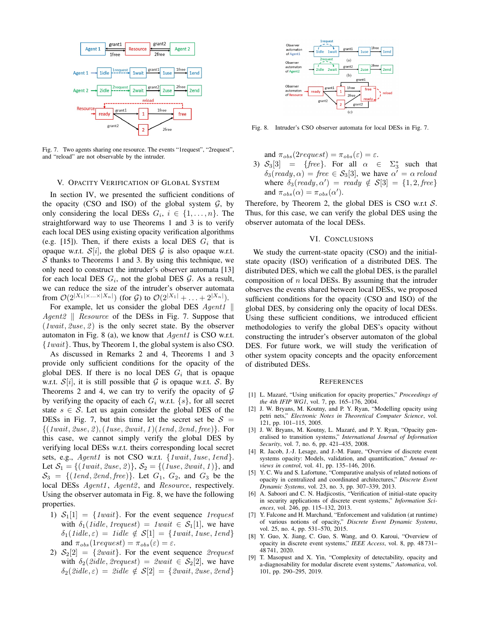

Fig. 7. Two agents sharing one resource. The events "1request", "2request", and "reload" are not observable by the intruder.

## V. OPACITY VERIFICATION OF GLOBAL SYSTEM

In section IV, we presented the sufficient conditions of the opacity (CSO and ISO) of the global system  $G$ , by only considering the local DESs  $G_i$ ,  $i \in \{1, ..., n\}$ . The straightforward way to use Theorems 1 and 3 is to verify each local DES using existing opacity verification algorithms (e.g. [15]). Then, if there exists a local DES  $G_i$  that is opaque w.r.t.  $\mathcal{S}[i]$ , the global DES  $\mathcal G$  is also opaque w.r.t.  $S$  thanks to Theorems 1 and 3. By using this technique, we only need to construct the intruder's observer automata [13] for each local DES  $G_i$ , not the global DES  $G$ . As a result, we can reduce the size of the intruder's observer automata from  $\mathcal{O}(2^{|X_1|\times \ldots \times |X_n|})$  (for G) to  $\mathcal{O}(2^{|X_1|} + \ldots + 2^{|X_n|})$ .

For example, let us consider the global DES  $Agent1$  || Agent<sub>2</sub> || Resource of the DESs in Fig. 7. Suppose that  $(1wait, 2use, 2)$  is the only secret state. By the observer automaton in Fig. 8 (a), we know that  $Agent1$  is CSO w.r.t. {1wait}. Thus, by Theorem 1, the global system is also CSO.

As discussed in Remarks 2 and 4, Theorems 1 and 3 provide only sufficient conditions for the opacity of the global DES. If there is no local DES  $G_i$  that is opaque w.r.t.  $\mathcal{S}[i]$ , it is still possible that  $\mathcal G$  is opaque w.r.t.  $\mathcal S$ . By Theorems 2 and 4, we can try to verify the opacity of  $G$ by verifying the opacity of each  $G_i$  w.r.t.  $\{s\}$ , for all secret state  $s \in S$ . Let us again consider the global DES of the DESs in Fig. 7, but this time let the secret set be  $S =$  $\{(1wait, 2use, 2), (1use, 2wait, 1) (1end, 2end, free)\}.$  For this case, we cannot simply verify the global DES by verifying local DESs w.r.t. theirs corresponding local secret sets, e.g., Agent1 is not CSO w.r.t. {1wait, 1use, 1end}. Let  $S_1 = \{(1wait, 2use, 2)\}, S_2 = \{(1use, 2wait, 1)\}, \text{and}$  $S_3 = \{(1end, 2end, free)\}.$  Let  $G_1$ ,  $G_2$ , and  $G_3$  be the local DESs Agent1, Agent2, and Resource, respectively. Using the observer automata in Fig. 8, we have the following properties.

- 1)  $S_1[1] = \{1wait\}$ . For the event sequence 1 request with  $\delta_1(\text{1}idle, \text{1}request) = \text{1}wait \in S_1[1]$ , we have  $\delta_1(\text{1}ide, \varepsilon) = \text{1}idle \notin S[1] = \{\text{1}wait, \text{1}use, \text{1}end\}$ and  $\pi_{obs}(1request) = \pi_{obs}(\varepsilon) = \varepsilon$ .
- 2)  $S_2[2] = \{2wait\}$ . For the event sequence 2request with  $\delta_2$ (2idle, 2request) = 2wait  $\in S_2[2]$ , we have  $\delta_2(2idle, \varepsilon) = 2idle \notin S[2] = \{2wait, 2use, 2end\}$



Fig. 8. Intruder's CSO observer automata for local DESs in Fig. 7.

and  $\pi_{obs}(2request) = \pi_{obs}(\varepsilon) = \varepsilon$ .

3)  $S_3[3] = \{free\}$ . For all  $\alpha \in$ ∗ 3 such that  $\delta_3(\text{ready}, \alpha) = \text{free} \in S_3[3]$ , we have  $\alpha' = \alpha \text{ reload}$ where  $\delta_3(\text{ready}, \alpha') = \text{ready} \notin S[3] = \{1, 2, \text{free}\}\$ and  $\pi_{obs}(\alpha) = \pi_{obs}(\alpha')$ .

Therefore, by Theorem 2, the global DES is CSO w.r.t  $S$ . Thus, for this case, we can verify the global DES using the observer automata of the local DESs.

### VI. CONCLUSIONS

We study the current-state opacity (CSO) and the initialstate opacity (ISO) verification of a distributed DES. The distributed DES, which we call the global DES, is the parallel composition of  $n$  local DESs. By assuming that the intruder observes the events shared between local DESs, we proposed sufficient conditions for the opacity (CSO and ISO) of the global DES, by considering only the opacity of local DESs. Using these sufficient conditions, we introduced efficient methodologies to verify the global DES's opacity without constructing the intruder's observer automaton of the global DES. For future work, we will study the verification of other system opacity concepts and the opacity enforcement of distributed DESs.

#### **REFERENCES**

- [1] L. Mazaré, "Using unification for opacity properties," Proceedings of *the 4th IFIP WG1*, vol. 7, pp. 165–176, 2004.
- [2] J. W. Bryans, M. Koutny, and P. Y. Ryan, "Modelling opacity using petri nets," *Electronic Notes in Theoretical Computer Science*, vol. 121, pp. 101–115, 2005.
- [3] J. W. Bryans, M. Koutny, L. Mazaré, and P. Y. Ryan, "Opacity generalised to transition systems," *International Journal of Information Security*, vol. 7, no. 6, pp. 421–435, 2008.
- [4] R. Jacob, J.-J. Lesage, and J.-M. Faure, "Overview of discrete event systems opacity: Models, validation, and quantification," *Annual reviews in control*, vol. 41, pp. 135–146, 2016.
- [5] Y. C. Wu and S. Lafortune, "Comparative analysis of related notions of opacity in centralized and coordinated architectures," *Discrete Event Dynamic Systems*, vol. 23, no. 3, pp. 307–339, 2013.
- [6] A. Saboori and C. N. Hadjicostis, "Verification of initial-state opacity in security applications of discrete event systems," *Information Sciences*, vol. 246, pp. 115–132, 2013.
- [7] Y. Falcone and H. Marchand, "Enforcement and validation (at runtime) of various notions of opacity," *Discrete Event Dynamic Systems*, vol. 25, no. 4, pp. 531–570, 2015.
- [8] Y. Guo, X. Jiang, C. Guo, S. Wang, and O. Karoui, "Overview of opacity in discrete event systems," *IEEE Access*, vol. 8, pp. 48 731– 48 741, 2020.
- [9] T. Masopust and X. Yin, "Complexity of detectability, opacity and a-diagnosability for modular discrete event systems," *Automatica*, vol. 101, pp. 290–295, 2019.